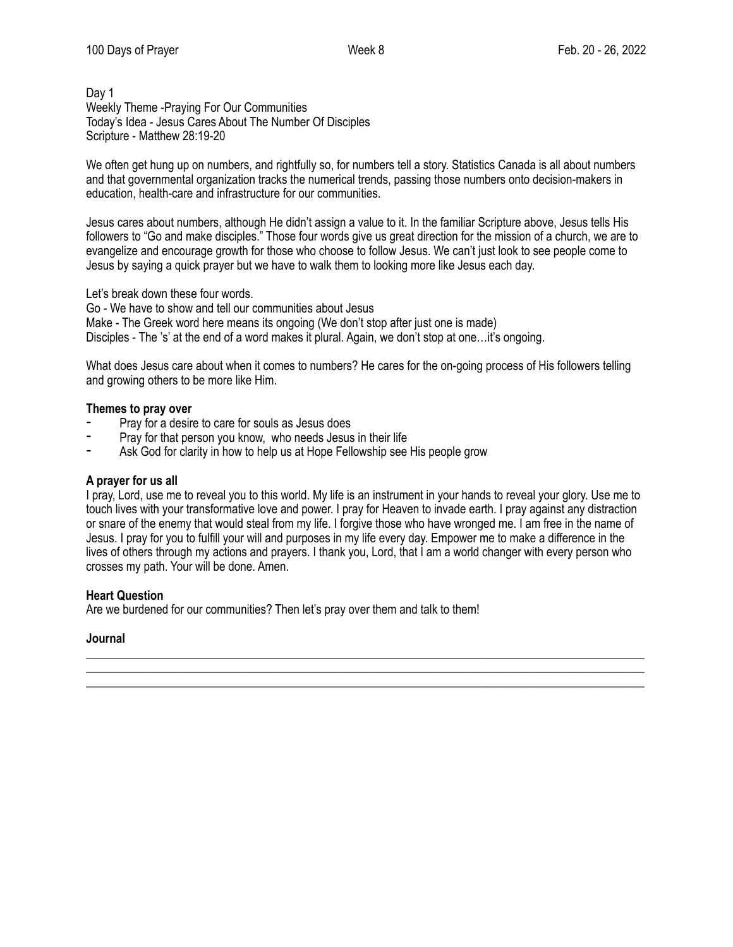## Day 1 Weekly Theme -Praying For Our Communities Today's Idea - Jesus Cares About The Number Of Disciples Scripture - Matthew 28:19-20

We often get hung up on numbers, and rightfully so, for numbers tell a story. Statistics Canada is all about numbers and that governmental organization tracks the numerical trends, passing those numbers onto decision-makers in education, health-care and infrastructure for our communities.

Jesus cares about numbers, although He didn't assign a value to it. In the familiar Scripture above, Jesus tells His followers to "Go and make disciples." Those four words give us great direction for the mission of a church, we are to evangelize and encourage growth for those who choose to follow Jesus. We can't just look to see people come to Jesus by saying a quick prayer but we have to walk them to looking more like Jesus each day.

Let's break down these four words.

Go - We have to show and tell our communities about Jesus

Make - The Greek word here means its ongoing (We don't stop after just one is made)

Disciples - The 's' at the end of a word makes it plural. Again, we don't stop at one...it's ongoing.

What does Jesus care about when it comes to numbers? He cares for the on-going process of His followers telling and growing others to be more like Him.

## **Themes to pray over**

- Pray for a desire to care for souls as Jesus does
- Pray for that person you know, who needs Jesus in their life
- Ask God for clarity in how to help us at Hope Fellowship see His people grow

#### **A prayer for us all**

I pray, Lord, use me to reveal you to this world. My life is an instrument in your hands to reveal your glory. Use me to touch lives with your transformative love and power. I pray for Heaven to invade earth. I pray against any distraction or snare of the enemy that would steal from my life. I forgive those who have wronged me. I am free in the name of Jesus. I pray for you to fulfill your will and purposes in my life every day. Empower me to make a difference in the lives of others through my actions and prayers. I thank you, Lord, that I am a world changer with every person who crosses my path. Your will be done. Amen.

\_\_\_\_\_\_\_\_\_\_\_\_\_\_\_\_\_\_\_\_\_\_\_\_\_\_\_\_\_\_\_\_\_\_\_\_\_\_\_\_\_\_\_\_\_\_\_\_\_\_\_\_\_\_\_\_\_\_\_\_\_\_\_\_\_\_\_\_\_\_\_\_\_\_\_\_\_\_\_\_\_\_\_\_\_\_\_\_\_\_\_\_\_ \_\_\_\_\_\_\_\_\_\_\_\_\_\_\_\_\_\_\_\_\_\_\_\_\_\_\_\_\_\_\_\_\_\_\_\_\_\_\_\_\_\_\_\_\_\_\_\_\_\_\_\_\_\_\_\_\_\_\_\_\_\_\_\_\_\_\_\_\_\_\_\_\_\_\_\_\_\_\_\_\_\_\_\_\_\_\_\_\_\_\_\_\_ \_\_\_\_\_\_\_\_\_\_\_\_\_\_\_\_\_\_\_\_\_\_\_\_\_\_\_\_\_\_\_\_\_\_\_\_\_\_\_\_\_\_\_\_\_\_\_\_\_\_\_\_\_\_\_\_\_\_\_\_\_\_\_\_\_\_\_\_\_\_\_\_\_\_\_\_\_\_\_\_\_\_\_\_\_\_\_\_\_\_\_\_\_

# **Heart Question**

Are we burdened for our communities? Then let's pray over them and talk to them!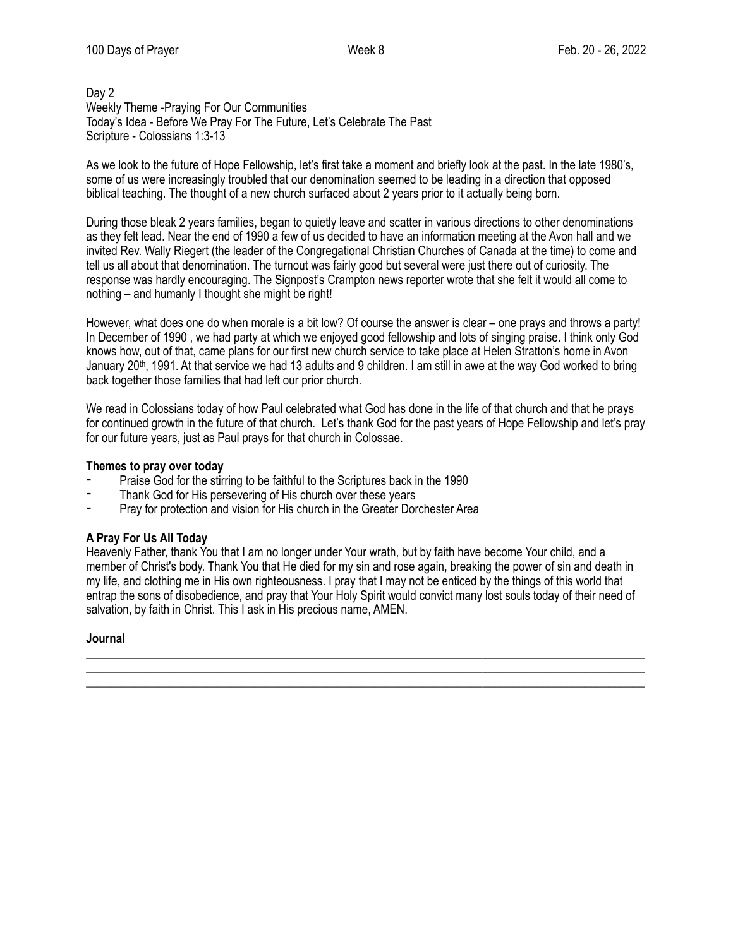## Day 2 Weekly Theme -Praying For Our Communities Today's Idea - Before We Pray For The Future, Let's Celebrate The Past Scripture - Colossians 1:3-13

As we look to the future of Hope Fellowship, let's first take a moment and briefly look at the past. In the late 1980's, some of us were increasingly troubled that our denomination seemed to be leading in a direction that opposed biblical teaching. The thought of a new church surfaced about 2 years prior to it actually being born.

During those bleak 2 years families, began to quietly leave and scatter in various directions to other denominations as they felt lead. Near the end of 1990 a few of us decided to have an information meeting at the Avon hall and we invited Rev. Wally Riegert (the leader of the Congregational Christian Churches of Canada at the time) to come and tell us all about that denomination. The turnout was fairly good but several were just there out of curiosity. The response was hardly encouraging. The Signpost's Crampton news reporter wrote that she felt it would all come to nothing – and humanly I thought she might be right!

However, what does one do when morale is a bit low? Of course the answer is clear – one prays and throws a party! In December of 1990 , we had party at which we enjoyed good fellowship and lots of singing praise. I think only God knows how, out of that, came plans for our first new church service to take place at Helen Stratton's home in Avon January 20<sup>th</sup>, 1991. At that service we had 13 adults and 9 children. I am still in awe at the way God worked to bring back together those families that had left our prior church.

We read in Colossians today of how Paul celebrated what God has done in the life of that church and that he prays for continued growth in the future of that church. Let's thank God for the past years of Hope Fellowship and let's pray for our future years, just as Paul prays for that church in Colossae.

#### **Themes to pray over today**

- Praise God for the stirring to be faithful to the Scriptures back in the 1990
- Thank God for His persevering of His church over these years
- Pray for protection and vision for His church in the Greater Dorchester Area

#### **A Pray For Us All Today**

Heavenly Father, thank You that I am no longer under Your wrath, but by faith have become Your child, and a member of Christ's body. Thank You that He died for my sin and rose again, breaking the power of sin and death in my life, and clothing me in His own righteousness. I pray that I may not be enticed by the things of this world that entrap the sons of disobedience, and pray that Your Holy Spirit would convict many lost souls today of their need of salvation, by faith in Christ. This I ask in His precious name, AMEN.

\_\_\_\_\_\_\_\_\_\_\_\_\_\_\_\_\_\_\_\_\_\_\_\_\_\_\_\_\_\_\_\_\_\_\_\_\_\_\_\_\_\_\_\_\_\_\_\_\_\_\_\_\_\_\_\_\_\_\_\_\_\_\_\_\_\_\_\_\_\_\_\_\_\_\_\_\_\_\_\_\_\_\_\_\_\_\_\_\_\_\_\_\_ \_\_\_\_\_\_\_\_\_\_\_\_\_\_\_\_\_\_\_\_\_\_\_\_\_\_\_\_\_\_\_\_\_\_\_\_\_\_\_\_\_\_\_\_\_\_\_\_\_\_\_\_\_\_\_\_\_\_\_\_\_\_\_\_\_\_\_\_\_\_\_\_\_\_\_\_\_\_\_\_\_\_\_\_\_\_\_\_\_\_\_\_\_ \_\_\_\_\_\_\_\_\_\_\_\_\_\_\_\_\_\_\_\_\_\_\_\_\_\_\_\_\_\_\_\_\_\_\_\_\_\_\_\_\_\_\_\_\_\_\_\_\_\_\_\_\_\_\_\_\_\_\_\_\_\_\_\_\_\_\_\_\_\_\_\_\_\_\_\_\_\_\_\_\_\_\_\_\_\_\_\_\_\_\_\_\_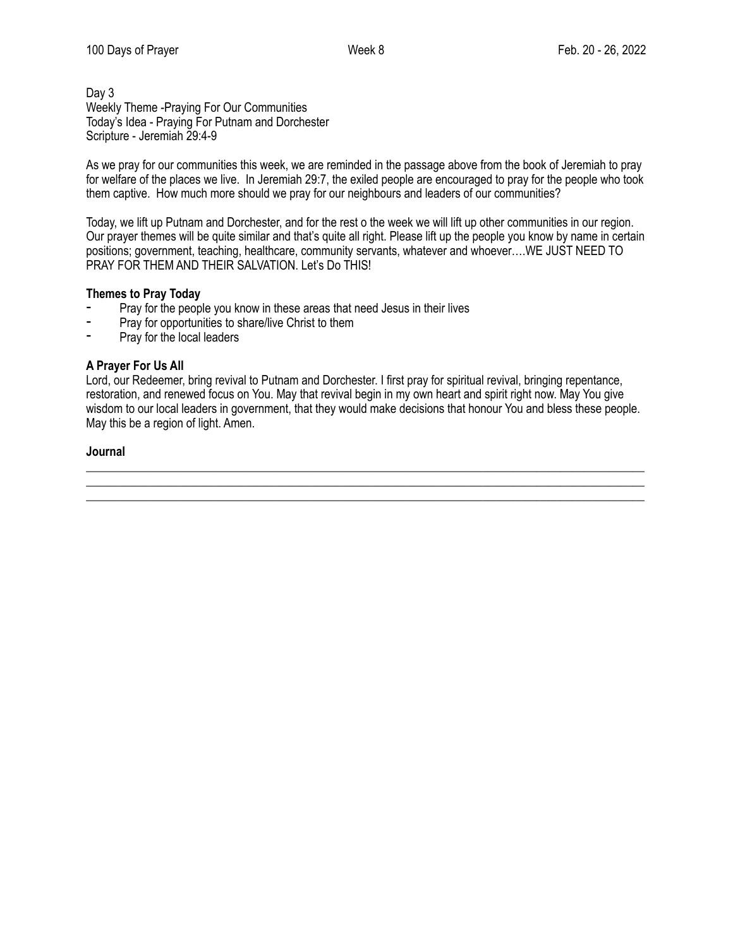# Day 3 Weekly Theme -Praying For Our Communities Today's Idea - Praying For Putnam and Dorchester Scripture - Jeremiah 29:4-9

As we pray for our communities this week, we are reminded in the passage above from the book of Jeremiah to pray for welfare of the places we live. In Jeremiah 29:7, the exiled people are encouraged to pray for the people who took them captive. How much more should we pray for our neighbours and leaders of our communities?

Today, we lift up Putnam and Dorchester, and for the rest o the week we will lift up other communities in our region. Our prayer themes will be quite similar and that's quite all right. Please lift up the people you know by name in certain positions; government, teaching, healthcare, community servants, whatever and whoever….WE JUST NEED TO PRAY FOR THEM AND THEIR SALVATION. Let's Do THIS!

# **Themes to Pray Today**

- Pray for the people you know in these areas that need Jesus in their lives<br>- Pray for opportunities to share/live Christ to them
- Pray for opportunities to share/live Christ to them
- Pray for the local leaders

# **A Prayer For Us All**

Lord, our Redeemer, bring revival to Putnam and Dorchester. I first pray for spiritual revival, bringing repentance, restoration, and renewed focus on You. May that revival begin in my own heart and spirit right now. May You give wisdom to our local leaders in government, that they would make decisions that honour You and bless these people. May this be a region of light. Amen.

\_\_\_\_\_\_\_\_\_\_\_\_\_\_\_\_\_\_\_\_\_\_\_\_\_\_\_\_\_\_\_\_\_\_\_\_\_\_\_\_\_\_\_\_\_\_\_\_\_\_\_\_\_\_\_\_\_\_\_\_\_\_\_\_\_\_\_\_\_\_\_\_\_\_\_\_\_\_\_\_\_\_\_\_\_\_\_\_\_\_\_\_\_ \_\_\_\_\_\_\_\_\_\_\_\_\_\_\_\_\_\_\_\_\_\_\_\_\_\_\_\_\_\_\_\_\_\_\_\_\_\_\_\_\_\_\_\_\_\_\_\_\_\_\_\_\_\_\_\_\_\_\_\_\_\_\_\_\_\_\_\_\_\_\_\_\_\_\_\_\_\_\_\_\_\_\_\_\_\_\_\_\_\_\_\_\_ \_\_\_\_\_\_\_\_\_\_\_\_\_\_\_\_\_\_\_\_\_\_\_\_\_\_\_\_\_\_\_\_\_\_\_\_\_\_\_\_\_\_\_\_\_\_\_\_\_\_\_\_\_\_\_\_\_\_\_\_\_\_\_\_\_\_\_\_\_\_\_\_\_\_\_\_\_\_\_\_\_\_\_\_\_\_\_\_\_\_\_\_\_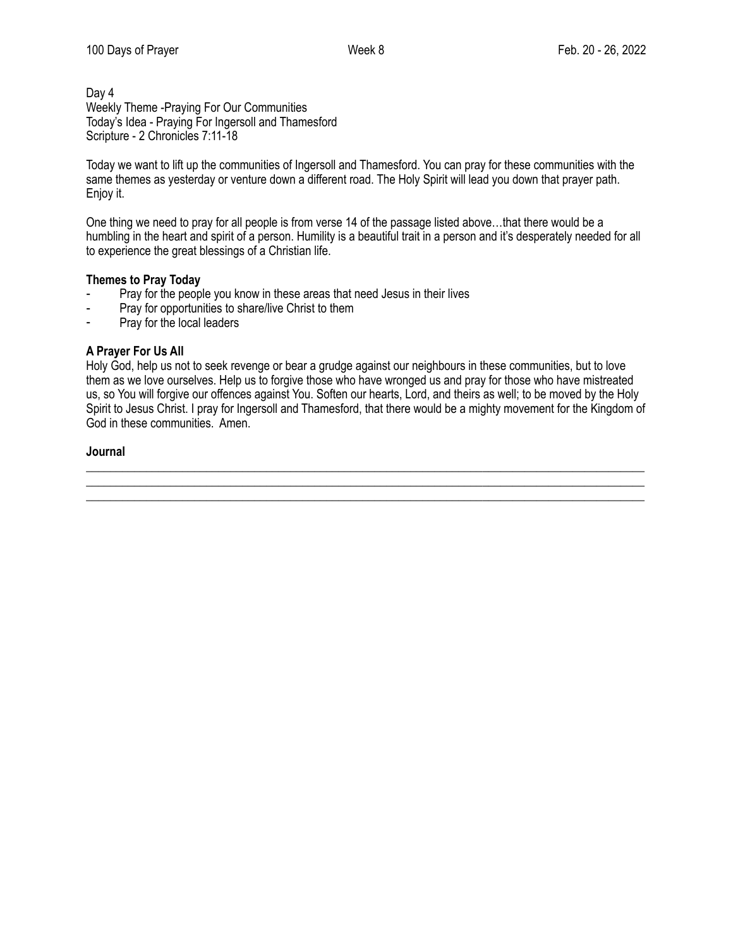Day 4 Weekly Theme -Praying For Our Communities Today's Idea - Praying For Ingersoll and Thamesford Scripture - 2 Chronicles 7:11-18

Today we want to lift up the communities of Ingersoll and Thamesford. You can pray for these communities with the same themes as yesterday or venture down a different road. The Holy Spirit will lead you down that prayer path. Enjoy it.

One thing we need to pray for all people is from verse 14 of the passage listed above…that there would be a humbling in the heart and spirit of a person. Humility is a beautiful trait in a person and it's desperately needed for all to experience the great blessings of a Christian life.

## **Themes to Pray Today**

- Pray for the people you know in these areas that need Jesus in their lives
- Pray for opportunities to share/live Christ to them
- Pray for the local leaders

## **A Prayer For Us All**

Holy God, help us not to seek revenge or bear a grudge against our neighbours in these communities, but to love them as we love ourselves. Help us to forgive those who have wronged us and pray for those who have mistreated us, so You will forgive our offences against You. Soften our hearts, Lord, and theirs as well; to be moved by the Holy Spirit to Jesus Christ. I pray for Ingersoll and Thamesford, that there would be a mighty movement for the Kingdom of God in these communities. Amen.

\_\_\_\_\_\_\_\_\_\_\_\_\_\_\_\_\_\_\_\_\_\_\_\_\_\_\_\_\_\_\_\_\_\_\_\_\_\_\_\_\_\_\_\_\_\_\_\_\_\_\_\_\_\_\_\_\_\_\_\_\_\_\_\_\_\_\_\_\_\_\_\_\_\_\_\_\_\_\_\_\_\_\_\_\_\_\_\_\_\_\_\_\_ \_\_\_\_\_\_\_\_\_\_\_\_\_\_\_\_\_\_\_\_\_\_\_\_\_\_\_\_\_\_\_\_\_\_\_\_\_\_\_\_\_\_\_\_\_\_\_\_\_\_\_\_\_\_\_\_\_\_\_\_\_\_\_\_\_\_\_\_\_\_\_\_\_\_\_\_\_\_\_\_\_\_\_\_\_\_\_\_\_\_\_\_\_ \_\_\_\_\_\_\_\_\_\_\_\_\_\_\_\_\_\_\_\_\_\_\_\_\_\_\_\_\_\_\_\_\_\_\_\_\_\_\_\_\_\_\_\_\_\_\_\_\_\_\_\_\_\_\_\_\_\_\_\_\_\_\_\_\_\_\_\_\_\_\_\_\_\_\_\_\_\_\_\_\_\_\_\_\_\_\_\_\_\_\_\_\_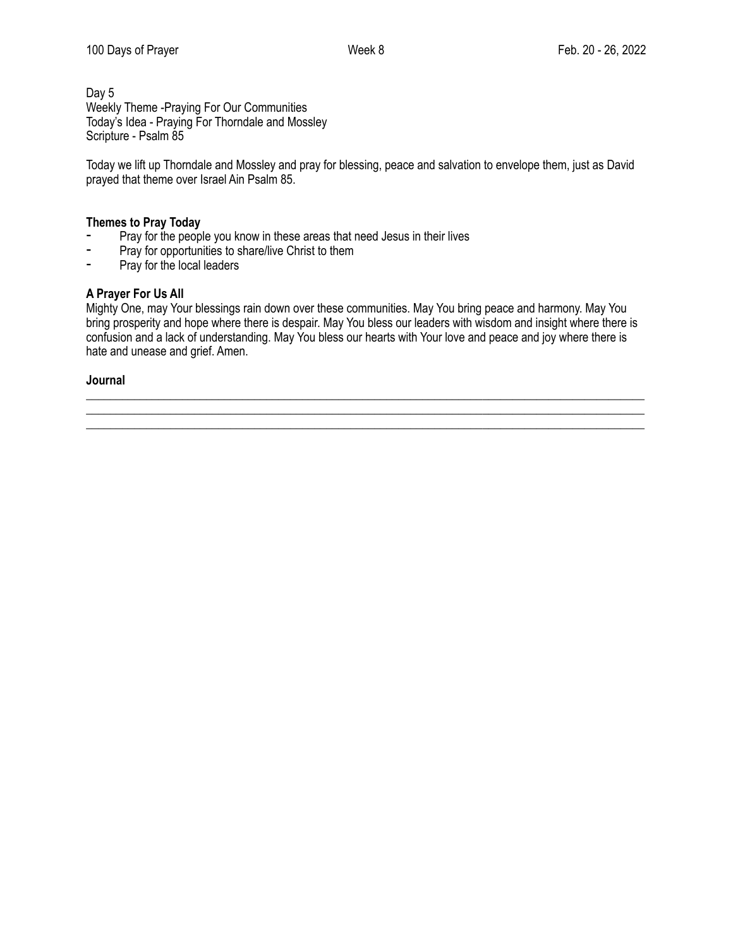Day 5 Weekly Theme -Praying For Our Communities Today's Idea - Praying For Thorndale and Mossley Scripture - Psalm 85

Today we lift up Thorndale and Mossley and pray for blessing, peace and salvation to envelope them, just as David prayed that theme over Israel Ain Psalm 85.

# **Themes to Pray Today**

- Pray for the people you know in these areas that need Jesus in their lives<br>- Pray for opportunities to share/live Christ to them
- Pray for opportunities to share/live Christ to them
- ⁃ Pray for the local leaders

# **A Prayer For Us All**

Mighty One, may Your blessings rain down over these communities. May You bring peace and harmony. May You bring prosperity and hope where there is despair. May You bless our leaders with wisdom and insight where there is confusion and a lack of understanding. May You bless our hearts with Your love and peace and joy where there is hate and unease and grief. Amen.

\_\_\_\_\_\_\_\_\_\_\_\_\_\_\_\_\_\_\_\_\_\_\_\_\_\_\_\_\_\_\_\_\_\_\_\_\_\_\_\_\_\_\_\_\_\_\_\_\_\_\_\_\_\_\_\_\_\_\_\_\_\_\_\_\_\_\_\_\_\_\_\_\_\_\_\_\_\_\_\_\_\_\_\_\_\_\_\_\_\_\_\_\_ \_\_\_\_\_\_\_\_\_\_\_\_\_\_\_\_\_\_\_\_\_\_\_\_\_\_\_\_\_\_\_\_\_\_\_\_\_\_\_\_\_\_\_\_\_\_\_\_\_\_\_\_\_\_\_\_\_\_\_\_\_\_\_\_\_\_\_\_\_\_\_\_\_\_\_\_\_\_\_\_\_\_\_\_\_\_\_\_\_\_\_\_\_ \_\_\_\_\_\_\_\_\_\_\_\_\_\_\_\_\_\_\_\_\_\_\_\_\_\_\_\_\_\_\_\_\_\_\_\_\_\_\_\_\_\_\_\_\_\_\_\_\_\_\_\_\_\_\_\_\_\_\_\_\_\_\_\_\_\_\_\_\_\_\_\_\_\_\_\_\_\_\_\_\_\_\_\_\_\_\_\_\_\_\_\_\_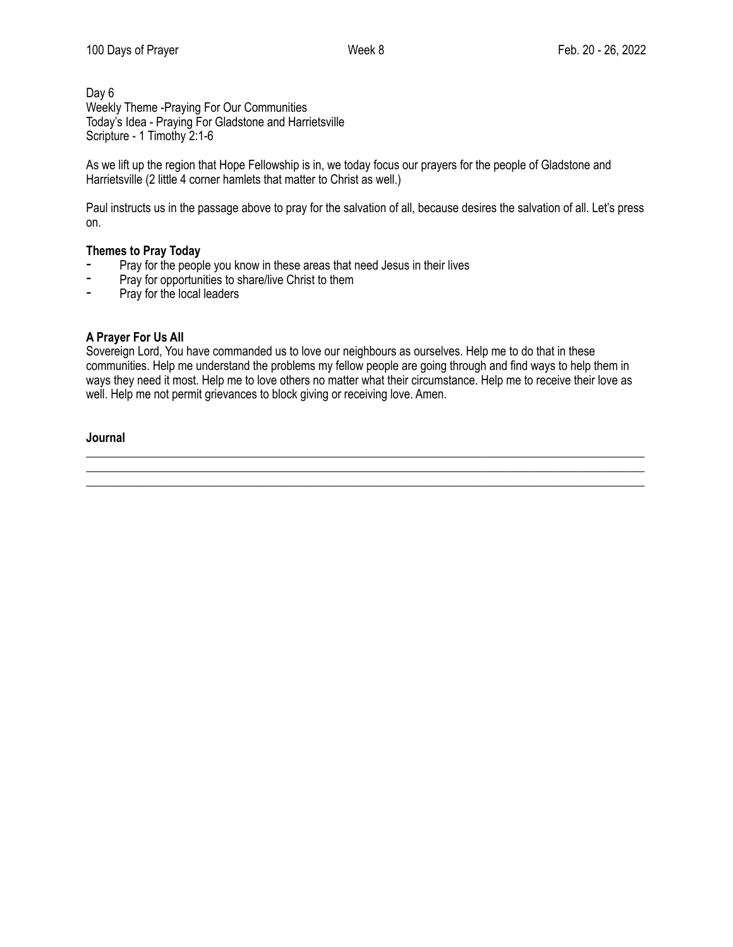## Day 6 Weekly Theme -Praying For Our Communities Today's Idea - Praying For Gladstone and Harrietsville Scripture - 1 Timothy 2:1-6

As we lift up the region that Hope Fellowship is in, we today focus our prayers for the people of Gladstone and Harrietsville (2 little 4 corner hamlets that matter to Christ as well.)

Paul instructs us in the passage above to pray for the salvation of all, because desires the salvation of all. Let's press on.

# **Themes to Pray Today**

- Pray for the people you know in these areas that need Jesus in their lives
- Pray for opportunities to share/live Christ to them
- ⁃ Pray for the local leaders

## **A Prayer For Us All**

Sovereign Lord, You have commanded us to love our neighbours as ourselves. Help me to do that in these communities. Help me understand the problems my fellow people are going through and find ways to help them in ways they need it most. Help me to love others no matter what their circumstance. Help me to receive their love as well. Help me not permit grievances to block giving or receiving love. Amen.

\_\_\_\_\_\_\_\_\_\_\_\_\_\_\_\_\_\_\_\_\_\_\_\_\_\_\_\_\_\_\_\_\_\_\_\_\_\_\_\_\_\_\_\_\_\_\_\_\_\_\_\_\_\_\_\_\_\_\_\_\_\_\_\_\_\_\_\_\_\_\_\_\_\_\_\_\_\_\_\_\_\_\_\_\_\_\_\_\_\_\_\_\_ \_\_\_\_\_\_\_\_\_\_\_\_\_\_\_\_\_\_\_\_\_\_\_\_\_\_\_\_\_\_\_\_\_\_\_\_\_\_\_\_\_\_\_\_\_\_\_\_\_\_\_\_\_\_\_\_\_\_\_\_\_\_\_\_\_\_\_\_\_\_\_\_\_\_\_\_\_\_\_\_\_\_\_\_\_\_\_\_\_\_\_\_\_ \_\_\_\_\_\_\_\_\_\_\_\_\_\_\_\_\_\_\_\_\_\_\_\_\_\_\_\_\_\_\_\_\_\_\_\_\_\_\_\_\_\_\_\_\_\_\_\_\_\_\_\_\_\_\_\_\_\_\_\_\_\_\_\_\_\_\_\_\_\_\_\_\_\_\_\_\_\_\_\_\_\_\_\_\_\_\_\_\_\_\_\_\_